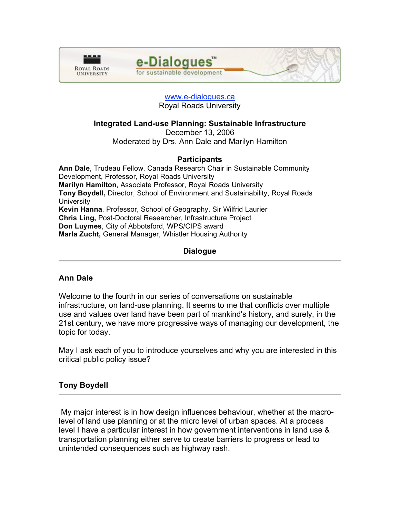



# www.e-dialogues.ca Royal Roads University

# **Integrated Land-use Planning: Sustainable Infrastructure**

December 13, 2006

Moderated by Drs. Ann Dale and Marilyn Hamilton

# **Participants**

**Ann Dale**, Trudeau Fellow, Canada Research Chair in Sustainable Community Development, Professor, Royal Roads University **Marilyn Hamilton**, Associate Professor, Royal Roads University **Tony Boydell,** Director, School of Environment and Sustainability, Royal Roads **University Kevin Hanna**, Professor, School of Geography, Sir Wilfrid Laurier **Chris Ling,** Post-Doctoral Researcher, Infrastructure Project **Don Luymes**, City of Abbotsford, WPS/CIPS award **Marla Zucht,** General Manager, Whistler Housing Authority

# **Dialogue**

# **Ann Dale**

Welcome to the fourth in our series of conversations on sustainable infrastructure, on land-use planning. It seems to me that conflicts over multiple use and values over land have been part of mankind's history, and surely, in the 21st century, we have more progressive ways of managing our development, the topic for today.

May I ask each of you to introduce yourselves and why you are interested in this critical public policy issue?

# **Tony Boydell**

My major interest is in how design influences behaviour, whether at the macrolevel of land use planning or at the micro level of urban spaces. At a process level I have a particular interest in how government interventions in land use & transportation planning either serve to create barriers to progress or lead to unintended consequences such as highway rash.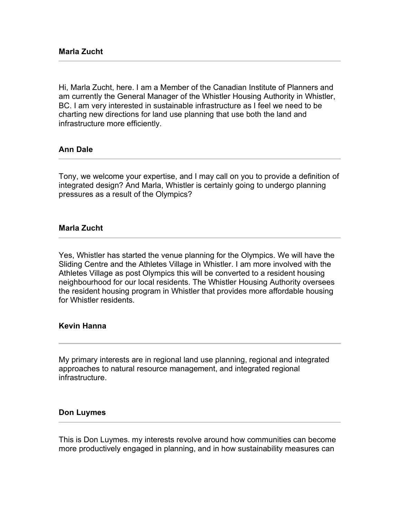Hi, Marla Zucht, here. I am a Member of the Canadian Institute of Planners and am currently the General Manager of the Whistler Housing Authority in Whistler, BC. I am very interested in sustainable infrastructure as I feel we need to be charting new directions for land use planning that use both the land and infrastructure more efficiently.

## **Ann Dale**

Tony, we welcome your expertise, and I may call on you to provide a definition of integrated design? And Marla, Whistler is certainly going to undergo planning pressures as a result of the Olympics?

### **Marla Zucht**

Yes, Whistler has started the venue planning for the Olympics. We will have the Sliding Centre and the Athletes Village in Whistler. I am more involved with the Athletes Village as post Olympics this will be converted to a resident housing neighbourhood for our local residents. The Whistler Housing Authority oversees the resident housing program in Whistler that provides more affordable housing for Whistler residents.

### **Kevin Hanna**

My primary interests are in regional land use planning, regional and integrated approaches to natural resource management, and integrated regional infrastructure.

#### **Don Luymes**

This is Don Luymes. my interests revolve around how communities can become more productively engaged in planning, and in how sustainability measures can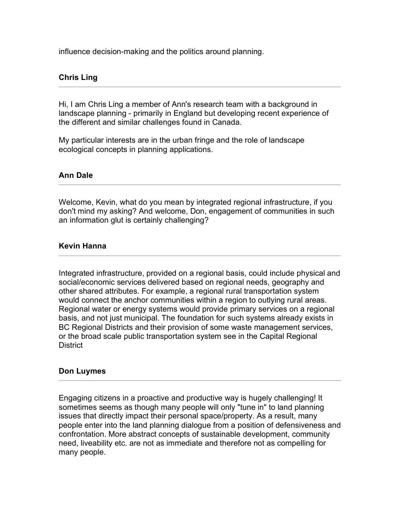influence decision-making and the politics around planning.

# **Chris Ling**

Hi, I am Chris Ling a member of Ann's research team with a background in landscape planning - primarily in England but developing recent experience of the different and similar challenges found in Canada.

My particular interests are in the urban fringe and the role of landscape ecological concepts in planning applications.

# **Ann Dale**

Welcome, Kevin, what do you mean by integrated regional infrastructure, if you don't mind my asking? And welcome, Don, engagement of communities in such an information glut is certainly challenging?

# **Kevin Hanna**

Integrated infrastructure, provided on a regional basis, could include physical and social/economic services delivered based on regional needs, geography and other shared attributes. For example, a regional rural transportation system would connect the anchor communities within a region to outlying rural areas. Regional water or energy systems would provide primary services on a regional basis, and not just municipal. The foundation for such systems already exists in BC Regional Districts and their provision of some waste management services, or the broad scale public transportation system see in the Capital Regional District

### **Don Luymes**

Engaging citizens in a proactive and productive way is hugely challenging! It sometimes seems as though many people will only "tune in" to land planning issues that directly impact their personal space/property. As a result, many people enter into the land planning dialogue from a position of defensiveness and confrontation. More abstract concepts of sustainable development, community need, liveability etc. are not as immediate and therefore not as compelling for many people.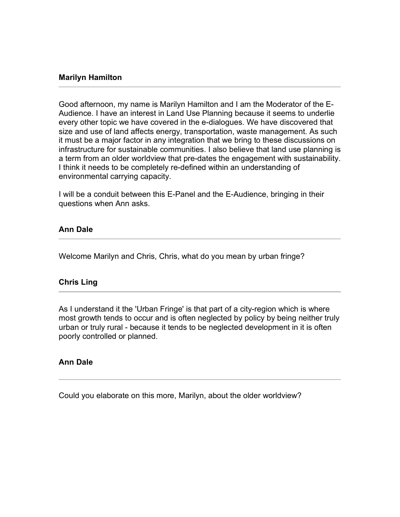## **Marilyn Hamilton**

Good afternoon, my name is Marilyn Hamilton and I am the Moderator of the E-Audience. I have an interest in Land Use Planning because it seems to underlie every other topic we have covered in the e-dialogues. We have discovered that size and use of land affects energy, transportation, waste management. As such it must be a major factor in any integration that we bring to these discussions on infrastructure for sustainable communities. I also believe that land use planning is a term from an older worldview that pre-dates the engagement with sustainability. I think it needs to be completely re-defined within an understanding of environmental carrying capacity.

I will be a conduit between this E-Panel and the E-Audience, bringing in their questions when Ann asks.

## **Ann Dale**

Welcome Marilyn and Chris, Chris, what do you mean by urban fringe?

### **Chris Ling**

As I understand it the 'Urban Fringe' is that part of a city-region which is where most growth tends to occur and is often neglected by policy by being neither truly urban or truly rural - because it tends to be neglected development in it is often poorly controlled or planned.

### **Ann Dale**

Could you elaborate on this more, Marilyn, about the older worldview?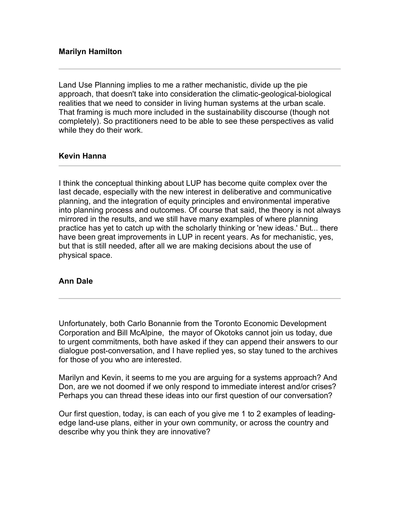Land Use Planning implies to me a rather mechanistic, divide up the pie approach, that doesn't take into consideration the climatic-geological-biological realities that we need to consider in living human systems at the urban scale. That framing is much more included in the sustainability discourse (though not completely). So practitioners need to be able to see these perspectives as valid while they do their work.

# **Kevin Hanna**

I think the conceptual thinking about LUP has become quite complex over the last decade, especially with the new interest in deliberative and communicative planning, and the integration of equity principles and environmental imperative into planning process and outcomes. Of course that said, the theory is not always mirrored in the results, and we still have many examples of where planning practice has yet to catch up with the scholarly thinking or 'new ideas.' But... there have been great improvements in LUP in recent years. As for mechanistic, yes, but that is still needed, after all we are making decisions about the use of physical space.

# **Ann Dale**

Unfortunately, both Carlo Bonannie from the Toronto Economic Development Corporation and Bill McAlpine, the mayor of Okotoks cannot join us today, due to urgent commitments, both have asked if they can append their answers to our dialogue post-conversation, and I have replied yes, so stay tuned to the archives for those of you who are interested.

Marilyn and Kevin, it seems to me you are arguing for a systems approach? And Don, are we not doomed if we only respond to immediate interest and/or crises? Perhaps you can thread these ideas into our first question of our conversation?

Our first question, today, is can each of you give me 1 to 2 examples of leadingedge land-use plans, either in your own community, or across the country and describe why you think they are innovative?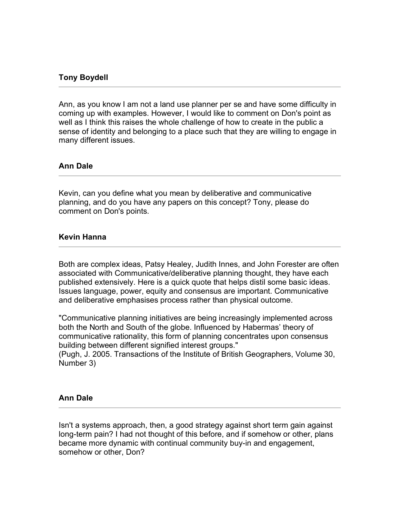# **Tony Boydell**

Ann, as you know I am not a land use planner per se and have some difficulty in coming up with examples. However, I would like to comment on Don's point as well as I think this raises the whole challenge of how to create in the public a sense of identity and belonging to a place such that they are willing to engage in many different issues.

## **Ann Dale**

Kevin, can you define what you mean by deliberative and communicative planning, and do you have any papers on this concept? Tony, please do comment on Don's points.

## **Kevin Hanna**

Both are complex ideas, Patsy Healey, Judith Innes, and John Forester are often associated with Communicative/deliberative planning thought, they have each published extensively. Here is a quick quote that helps distil some basic ideas. Issues language, power, equity and consensus are important. Communicative and deliberative emphasises process rather than physical outcome.

"Communicative planning initiatives are being increasingly implemented across both the North and South of the globe. Influenced by Habermas' theory of communicative rationality, this form of planning concentrates upon consensus building between different signified interest groups."

(Pugh, J. 2005. Transactions of the Institute of British Geographers, Volume 30, Number 3)

### **Ann Dale**

Isn't a systems approach, then, a good strategy against short term gain against long-term pain? I had not thought of this before, and if somehow or other, plans became more dynamic with continual community buy-in and engagement, somehow or other, Don?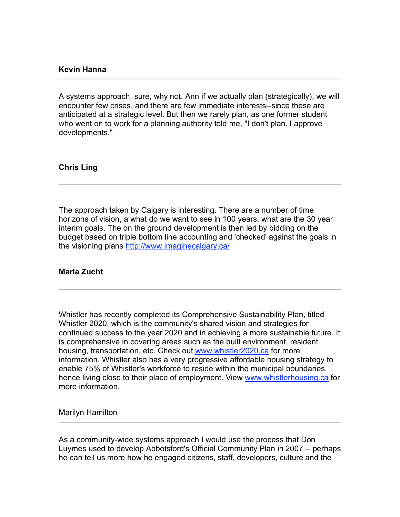## **Kevin Hanna**

A systems approach, sure, why not. Ann if we actually plan (strategically), we will encounter few crises, and there are few immediate interests--since these are anticipated at a strategic level. But then we rarely plan, as one former student who went on to work for a planning authority told me, "I don't plan. I approve developments."

## **Chris Ling**

The approach taken by Calgary is interesting. There are a number of time horizons of vision, a what do we want to see in 100 years, what are the 30 year interim goals. The on the ground development is then led by bidding on the budget based on triple bottom line accounting and 'checked' against the goals in the visioning plans http://www.imaginecalgary.ca/

### **Marla Zucht**

Whistler has recently completed its Comprehensive Sustainability Plan, titled Whistler 2020, which is the community's shared vision and strategies for continued success to the year 2020 and in achieving a more sustainable future. It is comprehensive in covering areas such as the built environment, resident housing, transportation, etc. Check out www.whistler2020.ca for more information. Whistler also has a very progressive affordable housing strategy to enable 75% of Whistler's workforce to reside within the municipal boundaries, hence living close to their place of employment. View www.whistlerhousing.ca for more information.

Marilyn Hamilton

As a community-wide systems approach I would use the process that Don Luymes used to develop Abbotsford's Official Community Plan in 2007 -- perhaps he can tell us more how he engaged citizens, staff, developers, culture and the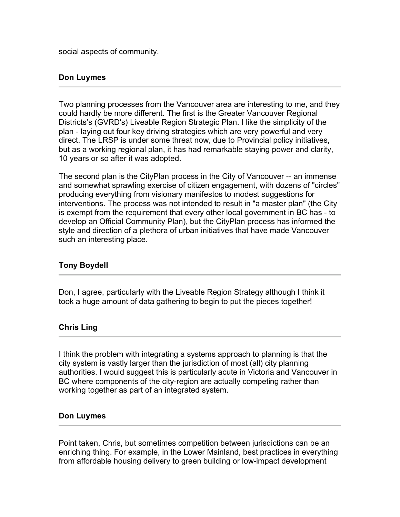social aspects of community.

# **Don Luymes**

Two planning processes from the Vancouver area are interesting to me, and they could hardly be more different. The first is the Greater Vancouver Regional Districts's (GVRD's) Liveable Region Strategic Plan. I like the simplicity of the plan - laying out four key driving strategies which are very powerful and very direct. The LRSP is under some threat now, due to Provincial policy initiatives, but as a working regional plan, it has had remarkable staying power and clarity, 10 years or so after it was adopted.

The second plan is the CityPlan process in the City of Vancouver -- an immense and somewhat sprawling exercise of citizen engagement, with dozens of "circles" producing everything from visionary manifestos to modest suggestions for interventions. The process was not intended to result in "a master plan" (the City is exempt from the requirement that every other local government in BC has - to develop an Official Community Plan), but the CityPlan process has informed the style and direction of a plethora of urban initiatives that have made Vancouver such an interesting place.

# **Tony Boydell**

Don, I agree, particularly with the Liveable Region Strategy although I think it took a huge amount of data gathering to begin to put the pieces together!

# **Chris Ling**

I think the problem with integrating a systems approach to planning is that the city system is vastly larger than the jurisdiction of most (all) city planning authorities. I would suggest this is particularly acute in Victoria and Vancouver in BC where components of the city-region are actually competing rather than working together as part of an integrated system.

# **Don Luymes**

Point taken, Chris, but sometimes competition between jurisdictions can be an enriching thing. For example, in the Lower Mainland, best practices in everything from affordable housing delivery to green building or low-impact development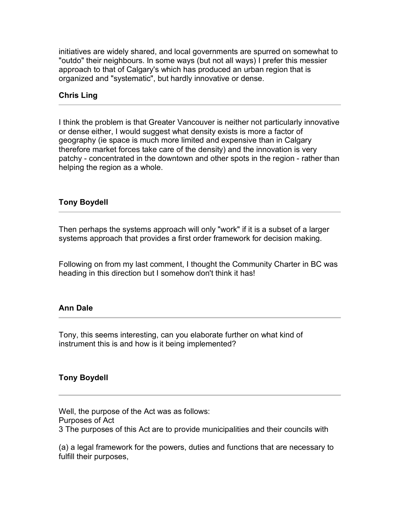initiatives are widely shared, and local governments are spurred on somewhat to "outdo" their neighbours. In some ways (but not all ways) I prefer this messier approach to that of Calgary's which has produced an urban region that is organized and "systematic", but hardly innovative or dense.

# **Chris Ling**

I think the problem is that Greater Vancouver is neither not particularly innovative or dense either, I would suggest what density exists is more a factor of geography (ie space is much more limited and expensive than in Calgary therefore market forces take care of the density) and the innovation is very patchy - concentrated in the downtown and other spots in the region - rather than helping the region as a whole.

# **Tony Boydell**

Then perhaps the systems approach will only "work" if it is a subset of a larger systems approach that provides a first order framework for decision making.

Following on from my last comment, I thought the Community Charter in BC was heading in this direction but I somehow don't think it has!

# **Ann Dale**

Tony, this seems interesting, can you elaborate further on what kind of instrument this is and how is it being implemented?

# **Tony Boydell**

Well, the purpose of the Act was as follows:

Purposes of Act

3 The purposes of this Act are to provide municipalities and their councils with

(a) a legal framework for the powers, duties and functions that are necessary to fulfill their purposes,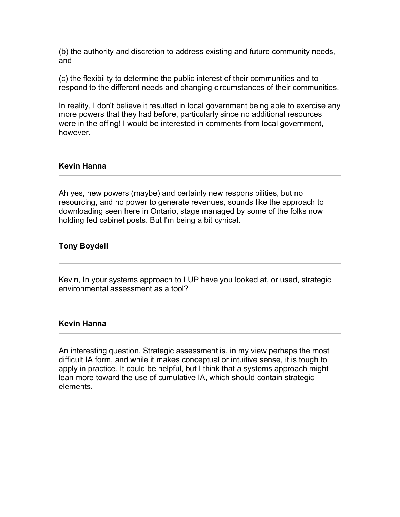(b) the authority and discretion to address existing and future community needs, and

(c) the flexibility to determine the public interest of their communities and to respond to the different needs and changing circumstances of their communities.

In reality, I don't believe it resulted in local government being able to exercise any more powers that they had before, particularly since no additional resources were in the offing! I would be interested in comments from local government, however.

# **Kevin Hanna**

Ah yes, new powers (maybe) and certainly new responsibilities, but no resourcing, and no power to generate revenues, sounds like the approach to downloading seen here in Ontario, stage managed by some of the folks now holding fed cabinet posts. But I'm being a bit cynical.

# **Tony Boydell**

Kevin, In your systems approach to LUP have you looked at, or used, strategic environmental assessment as a tool?

### **Kevin Hanna**

An interesting question. Strategic assessment is, in my view perhaps the most difficult IA form, and while it makes conceptual or intuitive sense, it is tough to apply in practice. It could be helpful, but I think that a systems approach might lean more toward the use of cumulative IA, which should contain strategic elements.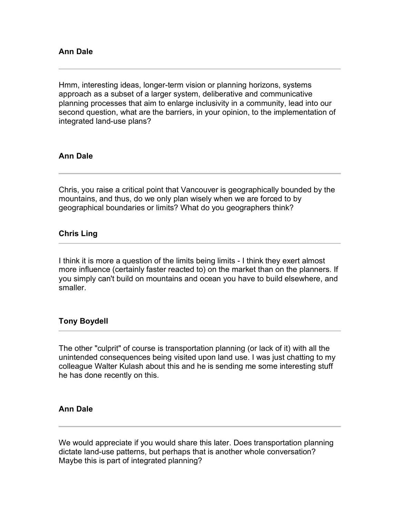Hmm, interesting ideas, longer-term vision or planning horizons, systems approach as a subset of a larger system, deliberative and communicative planning processes that aim to enlarge inclusivity in a community, lead into our second question, what are the barriers, in your opinion, to the implementation of integrated land-use plans?

# **Ann Dale**

Chris, you raise a critical point that Vancouver is geographically bounded by the mountains, and thus, do we only plan wisely when we are forced to by geographical boundaries or limits? What do you geographers think?

# **Chris Ling**

I think it is more a question of the limits being limits - I think they exert almost more influence (certainly faster reacted to) on the market than on the planners. If you simply can't build on mountains and ocean you have to build elsewhere, and smaller.

# **Tony Boydell**

The other "culprit" of course is transportation planning (or lack of it) with all the unintended consequences being visited upon land use. I was just chatting to my colleague Walter Kulash about this and he is sending me some interesting stuff he has done recently on this.

# **Ann Dale**

We would appreciate if you would share this later. Does transportation planning dictate land-use patterns, but perhaps that is another whole conversation? Maybe this is part of integrated planning?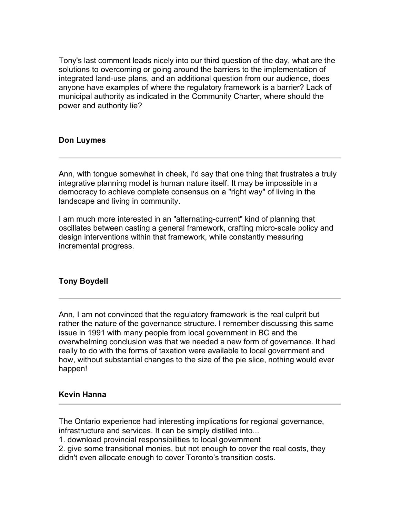Tony's last comment leads nicely into our third question of the day, what are the solutions to overcoming or going around the barriers to the implementation of integrated land-use plans, and an additional question from our audience, does anyone have examples of where the regulatory framework is a barrier? Lack of municipal authority as indicated in the Community Charter, where should the power and authority lie?

# **Don Luymes**

Ann, with tongue somewhat in cheek, I'd say that one thing that frustrates a truly integrative planning model is human nature itself. It may be impossible in a democracy to achieve complete consensus on a "right way" of living in the landscape and living in community.

I am much more interested in an "alternating-current" kind of planning that oscillates between casting a general framework, crafting micro-scale policy and design interventions within that framework, while constantly measuring incremental progress.

# **Tony Boydell**

Ann, I am not convinced that the regulatory framework is the real culprit but rather the nature of the governance structure. I remember discussing this same issue in 1991 with many people from local government in BC and the overwhelming conclusion was that we needed a new form of governance. It had really to do with the forms of taxation were available to local government and how, without substantial changes to the size of the pie slice, nothing would ever happen!

### **Kevin Hanna**

The Ontario experience had interesting implications for regional governance, infrastructure and services. It can be simply distilled into...

1. download provincial responsibilities to local government

2. give some transitional monies, but not enough to cover the real costs, they didn't even allocate enough to cover Toronto's transition costs.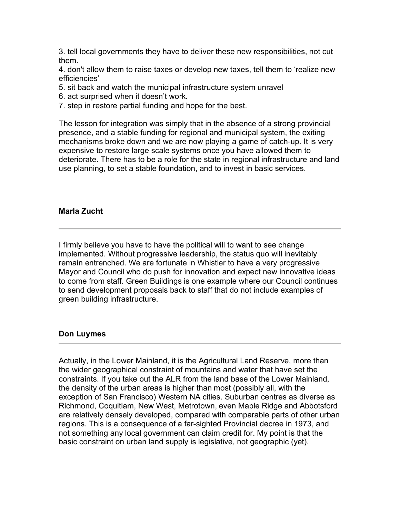3. tell local governments they have to deliver these new responsibilities, not cut them.

4. don't allow them to raise taxes or develop new taxes, tell them to 'realize new efficiencies'

- 5. sit back and watch the municipal infrastructure system unravel
- 6. act surprised when it doesn't work.
- 7. step in restore partial funding and hope for the best.

The lesson for integration was simply that in the absence of a strong provincial presence, and a stable funding for regional and municipal system, the exiting mechanisms broke down and we are now playing a game of catch-up. It is very expensive to restore large scale systems once you have allowed them to deteriorate. There has to be a role for the state in regional infrastructure and land use planning, to set a stable foundation, and to invest in basic services.

## **Marla Zucht**

I firmly believe you have to have the political will to want to see change implemented. Without progressive leadership, the status quo will inevitably remain entrenched. We are fortunate in Whistler to have a very progressive Mayor and Council who do push for innovation and expect new innovative ideas to come from staff. Green Buildings is one example where our Council continues to send development proposals back to staff that do not include examples of green building infrastructure.

### **Don Luymes**

Actually, in the Lower Mainland, it is the Agricultural Land Reserve, more than the wider geographical constraint of mountains and water that have set the constraints. If you take out the ALR from the land base of the Lower Mainland, the density of the urban areas is higher than most (possibly all, with the exception of San Francisco) Western NA cities. Suburban centres as diverse as Richmond, Coquitlam, New West, Metrotown, even Maple Ridge and Abbotsford are relatively densely developed, compared with comparable parts of other urban regions. This is a consequence of a far-sighted Provincial decree in 1973, and not something any local government can claim credit for. My point is that the basic constraint on urban land supply is legislative, not geographic (yet).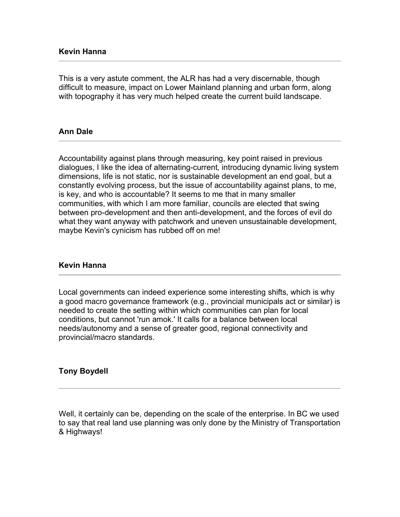This is a very astute comment, the ALR has had a very discernable, though difficult to measure, impact on Lower Mainland planning and urban form, along with topography it has very much helped create the current build landscape.

## **Ann Dale**

Accountability against plans through measuring, key point raised in previous dialogues, I like the idea of alternating-current, introducing dynamic living system dimensions, life is not static, nor is sustainable development an end goal, but a constantly evolving process, but the issue of accountability against plans, to me, is key, and who is accountable? It seems to me that in many smaller communities, with which I am more familiar, councils are elected that swing between pro-development and then anti-development, and the forces of evil do what they want anyway with patchwork and uneven unsustainable development, maybe Kevin's cynicism has rubbed off on me!

### **Kevin Hanna**

Local governments can indeed experience some interesting shifts, which is why a good macro governance framework (e.g., provincial municipals act or similar) is needed to create the setting within which communities can plan for local conditions, but cannot 'run amok.' It calls for a balance between local needs/autonomy and a sense of greater good, regional connectivity and provincial/macro standards.

### **Tony Boydell**

Well, it certainly can be, depending on the scale of the enterprise. In BC we used to say that real land use planning was only done by the Ministry of Transportation & Highways!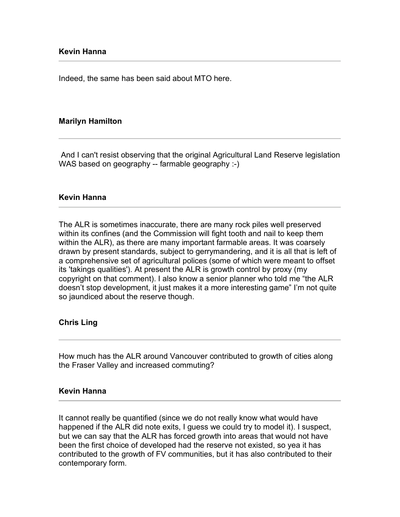Indeed, the same has been said about MTO here.

## **Marilyn Hamilton**

And I can't resist observing that the original Agricultural Land Reserve legislation WAS based on geography -- farmable geography :-)

#### **Kevin Hanna**

The ALR is sometimes inaccurate, there are many rock piles well preserved within its confines (and the Commission will fight tooth and nail to keep them within the ALR), as there are many important farmable areas. It was coarsely drawn by present standards, subject to gerrymandering, and it is all that is left of a comprehensive set of agricultural polices (some of which were meant to offset its 'takings qualities'). At present the ALR is growth control by proxy (my copyright on that comment). I also know a senior planner who told me "the ALR doesn't stop development, it just makes it a more interesting game" I'm not quite so jaundiced about the reserve though.

### **Chris Ling**

How much has the ALR around Vancouver contributed to growth of cities along the Fraser Valley and increased commuting?

### **Kevin Hanna**

It cannot really be quantified (since we do not really know what would have happened if the ALR did note exits, I guess we could try to model it). I suspect, but we can say that the ALR has forced growth into areas that would not have been the first choice of developed had the reserve not existed, so yea it has contributed to the growth of FV communities, but it has also contributed to their contemporary form.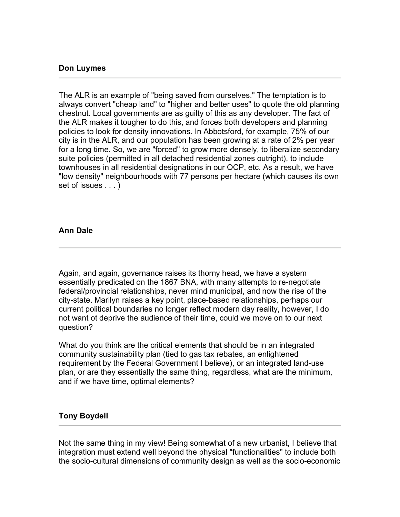## **Don Luymes**

The ALR is an example of "being saved from ourselves." The temptation is to always convert "cheap land" to "higher and better uses" to quote the old planning chestnut. Local governments are as guilty of this as any developer. The fact of the ALR makes it tougher to do this, and forces both developers and planning policies to look for density innovations. In Abbotsford, for example, 75% of our city is in the ALR, and our population has been growing at a rate of 2% per year for a long time. So, we are "forced" to grow more densely, to liberalize secondary suite policies (permitted in all detached residential zones outright), to include townhouses in all residential designations in our OCP, etc. As a result, we have "low density" neighbourhoods with 77 persons per hectare (which causes its own set of issues . . . )

## **Ann Dale**

Again, and again, governance raises its thorny head, we have a system essentially predicated on the 1867 BNA, with many attempts to re-negotiate federal/provincial relationships, never mind municipal, and now the rise of the city-state. Marilyn raises a key point, place-based relationships, perhaps our current political boundaries no longer reflect modern day reality, however, I do not want ot deprive the audience of their time, could we move on to our next question?

What do you think are the critical elements that should be in an integrated community sustainability plan (tied to gas tax rebates, an enlightened requirement by the Federal Government I believe), or an integrated land-use plan, or are they essentially the same thing, regardless, what are the minimum, and if we have time, optimal elements?

# **Tony Boydell**

Not the same thing in my view! Being somewhat of a new urbanist, I believe that integration must extend well beyond the physical "functionalities" to include both the socio-cultural dimensions of community design as well as the socio-economic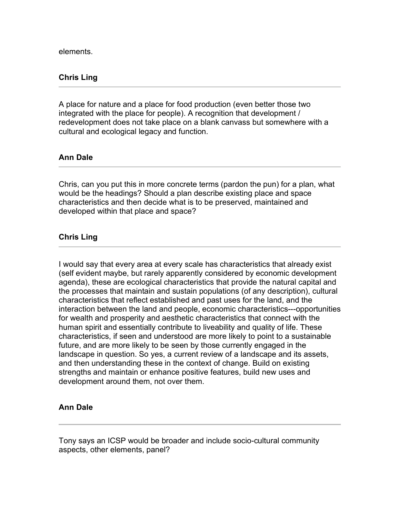elements.

## **Chris Ling**

A place for nature and a place for food production (even better those two integrated with the place for people). A recognition that development / redevelopment does not take place on a blank canvass but somewhere with a cultural and ecological legacy and function.

### **Ann Dale**

Chris, can you put this in more concrete terms (pardon the pun) for a plan, what would be the headings? Should a plan describe existing place and space characteristics and then decide what is to be preserved, maintained and developed within that place and space?

### **Chris Ling**

I would say that every area at every scale has characteristics that already exist (self evident maybe, but rarely apparently considered by economic development agenda), these are ecological characteristics that provide the natural capital and the processes that maintain and sustain populations (of any description), cultural characteristics that reflect established and past uses for the land, and the interaction between the land and people, economic characteristics---opportunities for wealth and prosperity and aesthetic characteristics that connect with the human spirit and essentially contribute to liveability and quality of life. These characteristics, if seen and understood are more likely to point to a sustainable future, and are more likely to be seen by those currently engaged in the landscape in question. So yes, a current review of a landscape and its assets, and then understanding these in the context of change. Build on existing strengths and maintain or enhance positive features, build new uses and development around them, not over them.

### **Ann Dale**

Tony says an ICSP would be broader and include socio-cultural community aspects, other elements, panel?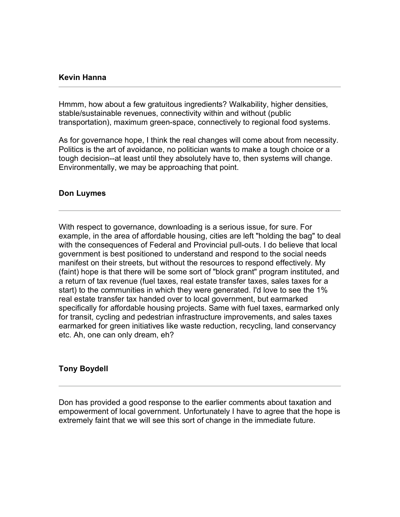### **Kevin Hanna**

Hmmm, how about a few gratuitous ingredients? Walkability, higher densities, stable/sustainable revenues, connectivity within and without (public transportation), maximum green-space, connectively to regional food systems.

As for governance hope, I think the real changes will come about from necessity. Politics is the art of avoidance, no politician wants to make a tough choice or a tough decision--at least until they absolutely have to, then systems will change. Environmentally, we may be approaching that point.

## **Don Luymes**

With respect to governance, downloading is a serious issue, for sure. For example, in the area of affordable housing, cities are left "holding the bag" to deal with the consequences of Federal and Provincial pull-outs. I do believe that local government is best positioned to understand and respond to the social needs manifest on their streets, but without the resources to respond effectively. My (faint) hope is that there will be some sort of "block grant" program instituted, and a return of tax revenue (fuel taxes, real estate transfer taxes, sales taxes for a start) to the communities in which they were generated. I'd love to see the 1% real estate transfer tax handed over to local government, but earmarked specifically for affordable housing projects. Same with fuel taxes, earmarked only for transit, cycling and pedestrian infrastructure improvements, and sales taxes earmarked for green initiatives like waste reduction, recycling, land conservancy etc. Ah, one can only dream, eh?

# **Tony Boydell**

Don has provided a good response to the earlier comments about taxation and empowerment of local government. Unfortunately I have to agree that the hope is extremely faint that we will see this sort of change in the immediate future.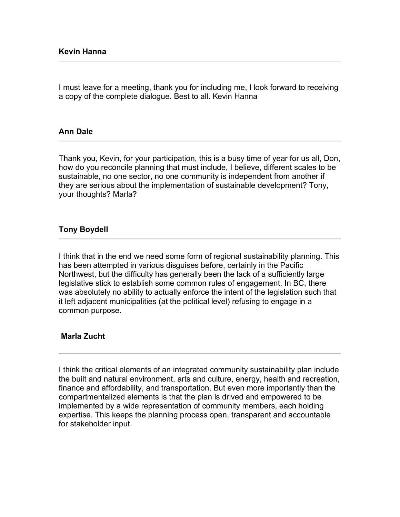I must leave for a meeting, thank you for including me, I look forward to receiving a copy of the complete dialogue. Best to all. Kevin Hanna

## **Ann Dale**

Thank you, Kevin, for your participation, this is a busy time of year for us all, Don, how do you reconcile planning that must include, I believe, different scales to be sustainable, no one sector, no one community is independent from another if they are serious about the implementation of sustainable development? Tony, your thoughts? Marla?

## **Tony Boydell**

I think that in the end we need some form of regional sustainability planning. This has been attempted in various disguises before, certainly in the Pacific Northwest, but the difficulty has generally been the lack of a sufficiently large legislative stick to establish some common rules of engagement. In BC, there was absolutely no ability to actually enforce the intent of the legislation such that it left adjacent municipalities (at the political level) refusing to engage in a common purpose.

### **Marla Zucht**

I think the critical elements of an integrated community sustainability plan include the built and natural environment, arts and culture, energy, health and recreation, finance and affordability, and transportation. But even more importantly than the compartmentalized elements is that the plan is drived and empowered to be implemented by a wide representation of community members, each holding expertise. This keeps the planning process open, transparent and accountable for stakeholder input.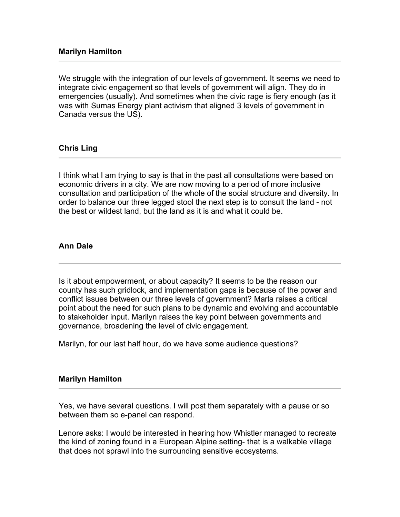# **Marilyn Hamilton**

We struggle with the integration of our levels of government. It seems we need to integrate civic engagement so that levels of government will align. They do in emergencies (usually). And sometimes when the civic rage is fiery enough (as it was with Sumas Energy plant activism that aligned 3 levels of government in Canada versus the US).

## **Chris Ling**

I think what I am trying to say is that in the past all consultations were based on economic drivers in a city. We are now moving to a period of more inclusive consultation and participation of the whole of the social structure and diversity. In order to balance our three legged stool the next step is to consult the land - not the best or wildest land, but the land as it is and what it could be.

## **Ann Dale**

Is it about empowerment, or about capacity? It seems to be the reason our county has such gridlock, and implementation gaps is because of the power and conflict issues between our three levels of government? Marla raises a critical point about the need for such plans to be dynamic and evolving and accountable to stakeholder input. Marilyn raises the key point between governments and governance, broadening the level of civic engagement.

Marilyn, for our last half hour, do we have some audience questions?

### **Marilyn Hamilton**

Yes, we have several questions. I will post them separately with a pause or so between them so e-panel can respond.

Lenore asks: I would be interested in hearing how Whistler managed to recreate the kind of zoning found in a European Alpine setting- that is a walkable village that does not sprawl into the surrounding sensitive ecosystems.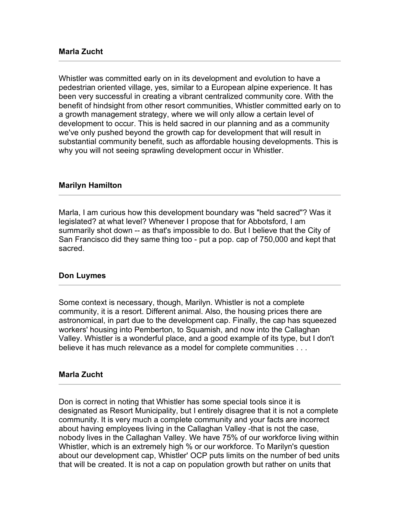Whistler was committed early on in its development and evolution to have a pedestrian oriented village, yes, similar to a European alpine experience. It has been very successful in creating a vibrant centralized community core. With the benefit of hindsight from other resort communities, Whistler committed early on to a growth management strategy, where we will only allow a certain level of development to occur. This is held sacred in our planning and as a community we've only pushed beyond the growth cap for development that will result in substantial community benefit, such as affordable housing developments. This is why you will not seeing sprawling development occur in Whistler.

### **Marilyn Hamilton**

Marla, I am curious how this development boundary was "held sacred"? Was it legislated? at what level? Whenever I propose that for Abbotsford, I am summarily shot down -- as that's impossible to do. But I believe that the City of San Francisco did they same thing too - put a pop. cap of 750,000 and kept that sacred.

### **Don Luymes**

Some context is necessary, though, Marilyn. Whistler is not a complete community, it is a resort. Different animal. Also, the housing prices there are astronomical, in part due to the development cap. Finally, the cap has squeezed workers' housing into Pemberton, to Squamish, and now into the Callaghan Valley. Whistler is a wonderful place, and a good example of its type, but I don't believe it has much relevance as a model for complete communities . . .

### **Marla Zucht**

Don is correct in noting that Whistler has some special tools since it is designated as Resort Municipality, but I entirely disagree that it is not a complete community. It is very much a complete community and your facts are incorrect about having employees living in the Callaghan Valley -that is not the case, nobody lives in the Callaghan Valley. We have 75% of our workforce living within Whistler, which is an extremely high % or our workforce. To Marilyn's question about our development cap, Whistler' OCP puts limits on the number of bed units that will be created. It is not a cap on population growth but rather on units that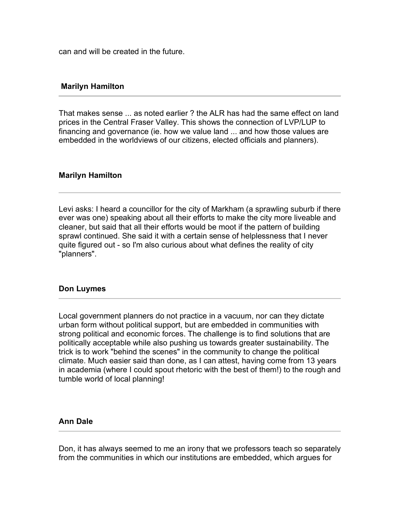can and will be created in the future.

## **Marilyn Hamilton**

That makes sense ... as noted earlier ? the ALR has had the same effect on land prices in the Central Fraser Valley. This shows the connection of LVP/LUP to financing and governance (ie. how we value land ... and how those values are embedded in the worldviews of our citizens, elected officials and planners).

## **Marilyn Hamilton**

Levi asks: I heard a councillor for the city of Markham (a sprawling suburb if there ever was one) speaking about all their efforts to make the city more liveable and cleaner, but said that all their efforts would be moot if the pattern of building sprawl continued. She said it with a certain sense of helplessness that I never quite figured out - so I'm also curious about what defines the reality of city "planners".

### **Don Luymes**

Local government planners do not practice in a vacuum, nor can they dictate urban form without political support, but are embedded in communities with strong political and economic forces. The challenge is to find solutions that are politically acceptable while also pushing us towards greater sustainability. The trick is to work "behind the scenes" in the community to change the political climate. Much easier said than done, as I can attest, having come from 13 years in academia (where I could spout rhetoric with the best of them!) to the rough and tumble world of local planning!

### **Ann Dale**

Don, it has always seemed to me an irony that we professors teach so separately from the communities in which our institutions are embedded, which argues for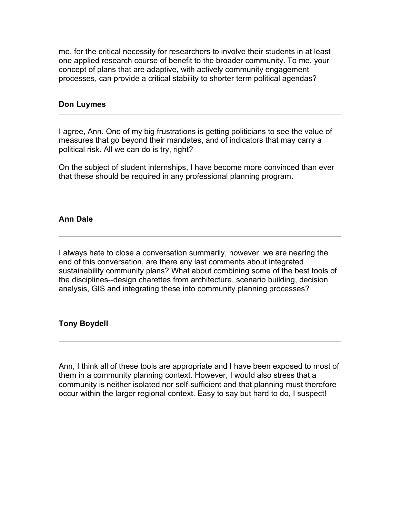me, for the critical necessity for researchers to involve their students in at least one applied research course of benefit to the broader community. To me, your concept of plans that are adaptive, with actively community engagement processes, can provide a critical stability to shorter term political agendas?

## **Don Luymes**

I agree, Ann. One of my big frustrations is getting politicians to see the value of measures that go beyond their mandates, and of indicators that may carry a political risk. All we can do is try, right?

On the subject of student internships, I have become more convinced than ever that these should be required in any professional planning program.

## **Ann Dale**

I always hate to close a conversation summarily, however, we are nearing the end of this conversation, are there any last comments about integrated sustainability community plans? What about combining some of the best tools of the disciplines--design charettes from architecture, scenario building, decision analysis, GIS and integrating these into community planning processes?

# **Tony Boydell**

Ann, I think all of these tools are appropriate and I have been exposed to most of them in a community planning context. However, I would also stress that a community is neither isolated nor self-sufficient and that planning must therefore occur within the larger regional context. Easy to say but hard to do, I suspect!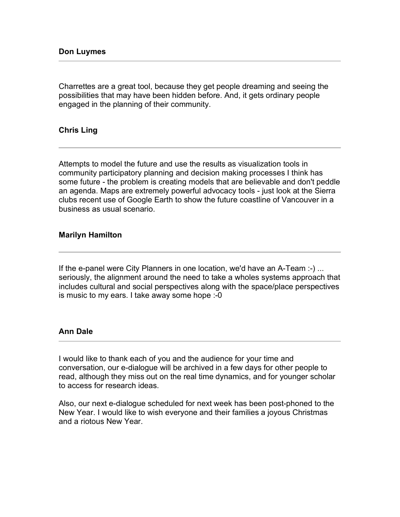Charrettes are a great tool, because they get people dreaming and seeing the possibilities that may have been hidden before. And, it gets ordinary people engaged in the planning of their community.

## **Chris Ling**

Attempts to model the future and use the results as visualization tools in community participatory planning and decision making processes I think has some future - the problem is creating models that are believable and don't peddle an agenda. Maps are extremely powerful advocacy tools - just look at the Sierra clubs recent use of Google Earth to show the future coastline of Vancouver in a business as usual scenario.

## **Marilyn Hamilton**

If the e-panel were City Planners in one location, we'd have an A-Team :-) ... seriously, the alignment around the need to take a wholes systems approach that includes cultural and social perspectives along with the space/place perspectives is music to my ears. I take away some hope :-0

### **Ann Dale**

I would like to thank each of you and the audience for your time and conversation, our e-dialogue will be archived in a few days for other people to read, although they miss out on the real time dynamics, and for younger scholar to access for research ideas.

Also, our next e-dialogue scheduled for next week has been post-phoned to the New Year. I would like to wish everyone and their families a joyous Christmas and a riotous New Year.